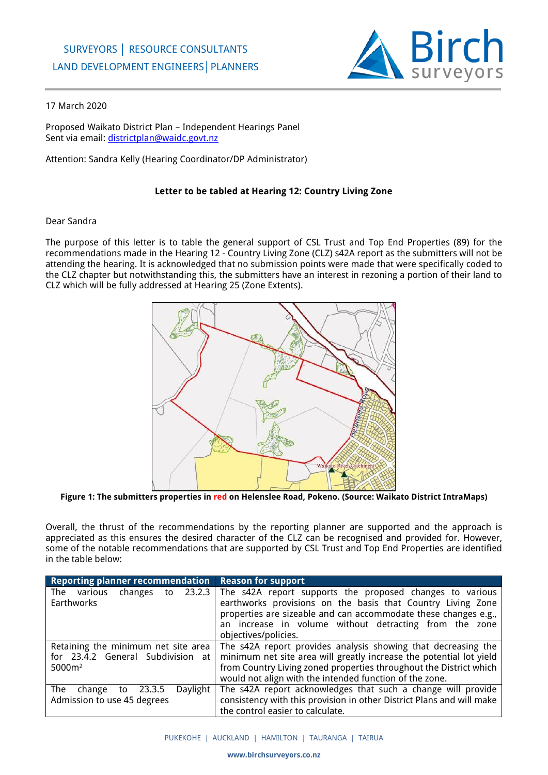

## 17 March 2020

Proposed Waikato District Plan – Independent Hearings Panel Sent via email: [districtplan@waidc.govt.nz](mailto:districtplan@waidc.govt.nz)

Attention: Sandra Kelly (Hearing Coordinator/DP Administrator)

## **Letter to be tabled at Hearing 12: Country Living Zone**

## Dear Sandra

The purpose of this letter is to table the general support of CSL Trust and Top End Properties (89) for the recommendations made in the Hearing 12 - Country Living Zone (CLZ) s42A report as the submitters will not be attending the hearing. It is acknowledged that no submission points were made that were specifically coded to the CLZ chapter but notwithstanding this, the submitters have an interest in rezoning a portion of their land to CLZ which will be fully addressed at Hearing 25 (Zone Extents).



**Figure 1: The submitters properties in red on Helenslee Road, Pokeno. (Source: Waikato District IntraMaps)**

Overall, the thrust of the recommendations by the reporting planner are supported and the approach is appreciated as this ensures the desired character of the CLZ can be recognised and provided for. However, some of the notable recommendations that are supported by CSL Trust and Top End Properties are identified in the table below:

| Reporting planner recommendation   Reason for support                                 |                                                                                                                                                                                                                                                                                                  |
|---------------------------------------------------------------------------------------|--------------------------------------------------------------------------------------------------------------------------------------------------------------------------------------------------------------------------------------------------------------------------------------------------|
| The<br>various<br>Earthworks                                                          | changes to $23.2.3$ The s42A report supports the proposed changes to various<br>earthworks provisions on the basis that Country Living Zone<br>properties are sizeable and can accommodate these changes e.g.,<br>an increase in volume without detracting from the zone<br>objectives/policies. |
| Retaining the minimum net site area<br>for 23.4.2 General Subdivision at<br>$5000m^2$ | The s42A report provides analysis showing that decreasing the<br>minimum net site area will greatly increase the potential lot yield<br>from Country Living zoned properties throughout the District which<br>would not align with the intended function of the zone.                            |
| Daylight<br>The change to 23.3.5<br>Admission to use 45 degrees                       | The s42A report acknowledges that such a change will provide<br>consistency with this provision in other District Plans and will make<br>the control easier to calculate.                                                                                                                        |